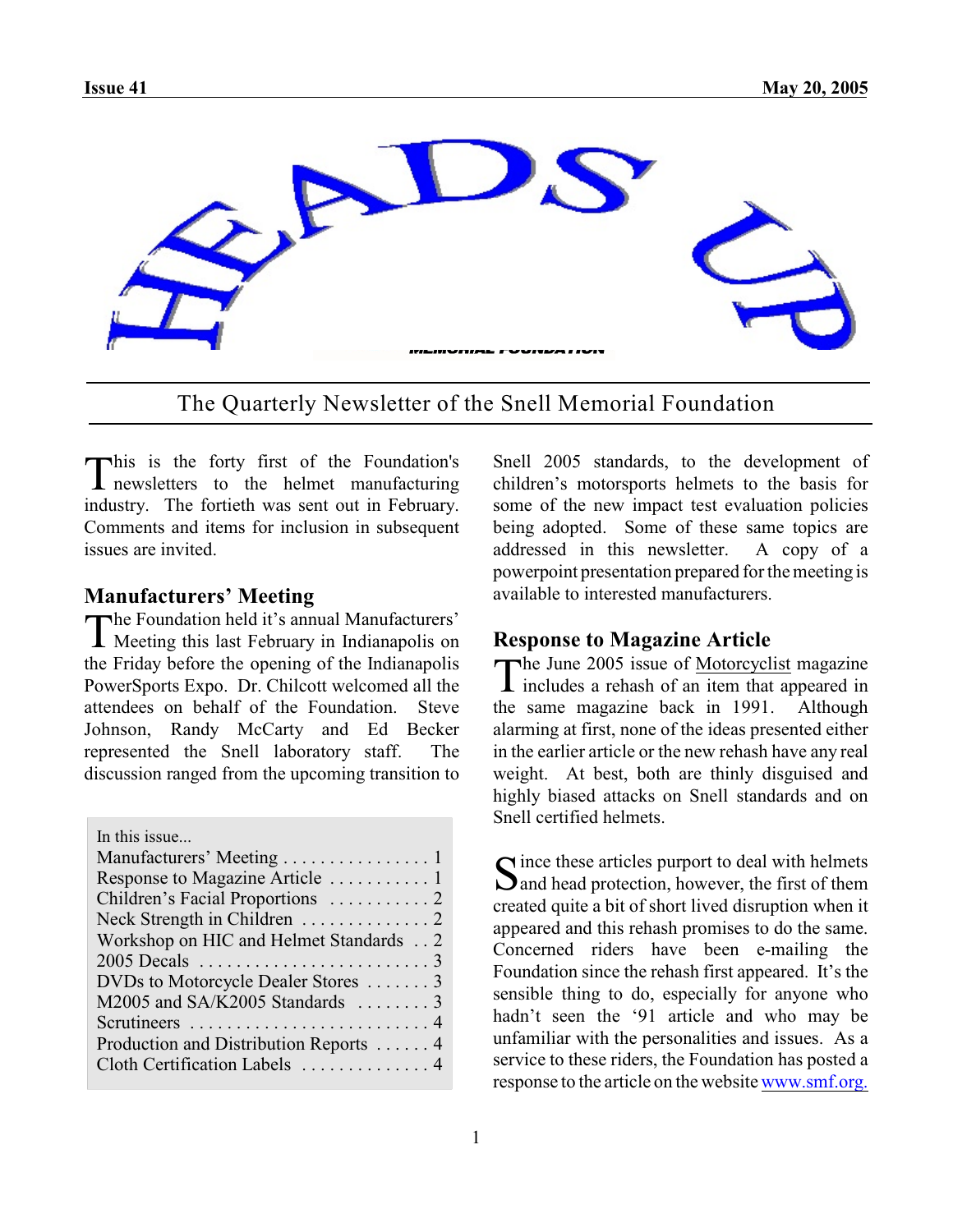

The Quarterly Newsletter of the Snell Memorial Foundation

This is the forty first of the Foundation's<br>
newsletters to the helmet manufacturing This is the forty first of the Foundation's industry. The fortieth was sent out in February. Comments and items for inclusion in subsequent issues are invited.

#### **Manufacturers' Meeting**

The Foundation held it's annual Manufacturers'<br>Meeting this last February in Indianapolis on Meeting this last February in Indianapolis on the Friday before the opening of the Indianapolis PowerSports Expo. Dr. Chilcott welcomed all the attendees on behalf of the Foundation. Steve Johnson, Randy McCarty and Ed Becker represented the Snell laboratory staff. The discussion ranged from the upcoming transition to

| In this issue                          |
|----------------------------------------|
| Manufacturers' Meeting 1               |
| Response to Magazine Article  1        |
| Children's Facial Proportions  2       |
|                                        |
| Workshop on HIC and Helmet Standards 2 |
|                                        |
| DVDs to Motorcycle Dealer Stores  3    |
| M2005 and SA/K2005 Standards  3        |
|                                        |
| Production and Distribution Reports  4 |
| Cloth Certification Labels  4          |
|                                        |

Snell 2005 standards, to the development of children's motorsports helmets to the basis for some of the new impact test evaluation policies being adopted. Some of these same topics are addressed in this newsletter. A copy of a powerpoint presentation prepared forthemeeting is available to interested manufacturers.

#### **Response to Magazine Article**

The June 2005 issue of <u>Motorcyclist</u> magazine<br>includes a rehash of an item that appeared in The June 2005 issue of Motorcyclist magazine the same magazine back in 1991. Although alarming at first, none of the ideas presented either in the earlier article or the new rehash have any real weight. At best, both are thinly disguised and highly biased attacks on Snell standards and on Snell certified helmets.

Since these articles purport to deal with helmets<br>Sand head protection, however, the first of them  $\sum$  and head protection, however, the first of them created quite a bit of short lived disruption when it appeared and this rehash promises to do the same. Concerned riders have been e-mailing the Foundation since the rehash first appeared. It's the sensible thing to do, especially for anyone who hadn't seen the '91 article and who may be unfamiliar with the personalities and issues. As a service to these riders, the Foundation has posted a response to the article on the website [www.smf.org.](http://www.smf.org.)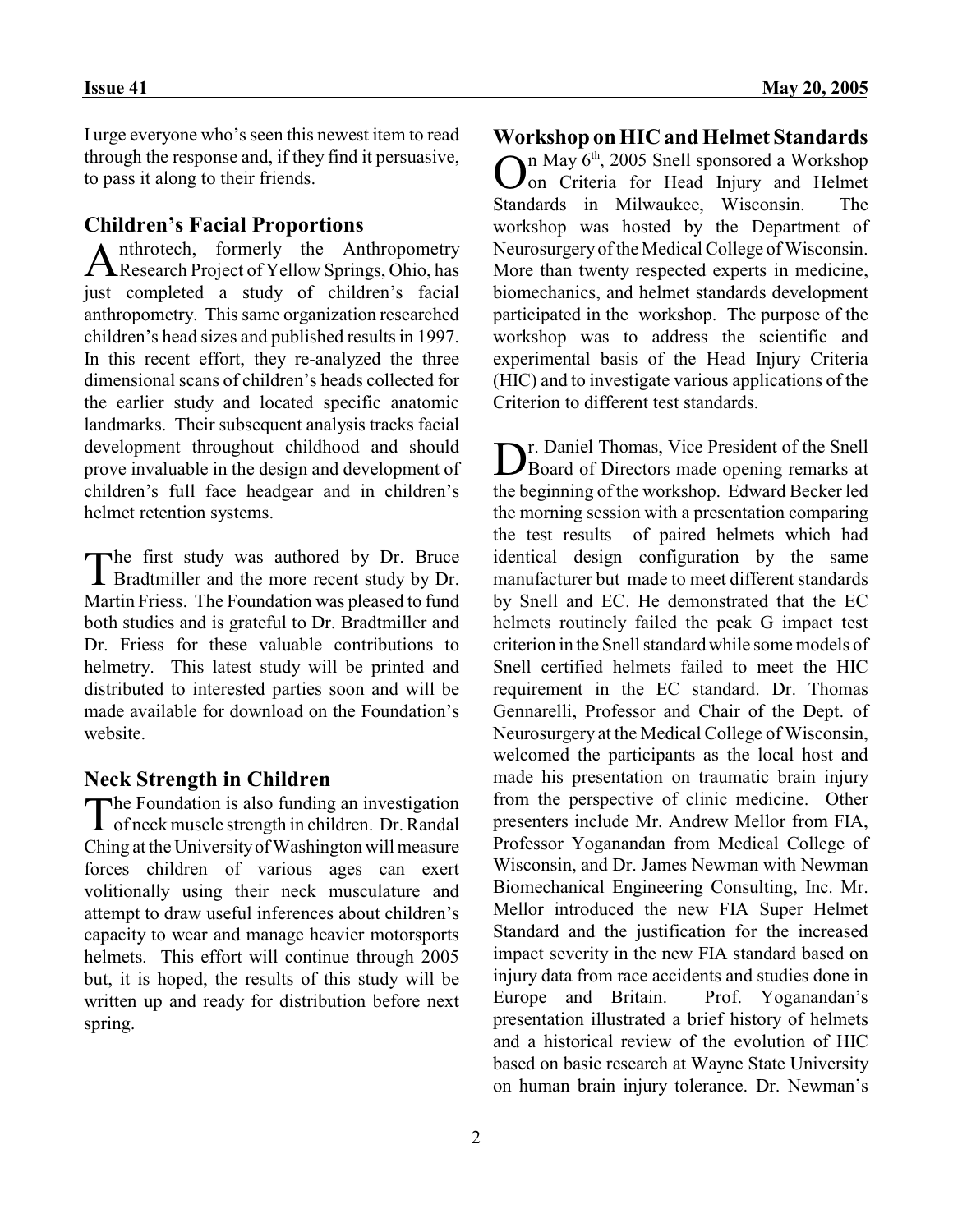I urge everyone who's seen this newest item to read through the response and, if they find it persuasive, to pass it along to their friends.

## **Children's Facial Proportions**

Anthrotech, formerly the Anthropometry<br>Research Project of Yellow Springs, Ohio, has nthrotech, formerly the Anthropometry just completed a study of children's facial anthropometry. This same organization researched children's head sizes and published results in 1997. In this recent effort, they re-analyzed the three dimensional scans of children's heads collected for the earlier study and located specific anatomic landmarks. Their subsequent analysis tracks facial development throughout childhood and should prove invaluable in the design and development of children's full face headgear and in children's helmet retention systems.

The first study was authored by Dr. Bruce<br>Bradtmiller and the more recent study by Dr. **I** Bradtmiller and the more recent study by Dr. Martin Friess. The Foundation was pleased to fund both studies and is grateful to Dr. Bradtmiller and Dr. Friess for these valuable contributions to helmetry. This latest study will be printed and distributed to interested parties soon and will be made available for download on the Foundation's website.

#### **Neck Strength in Children**

The Foundation is also funding an investigation<br>of neck muscle strength in children. Dr. Randal **The Foundation is also funding an investigation** Ching at the University of Washington will measure forces children of various ages can exert volitionally using their neck musculature and attempt to draw useful inferences about children's capacity to wear and manage heavier motorsports helmets. This effort will continue through 2005 but, it is hoped, the results of this study will be written up and ready for distribution before next spring.

# **Workshop on HIC and Helmet Standards**

 $\sum_{n=1}^{\infty}$  May 6<sup>th</sup>, 2005 Snell sponsored a Workshop on Criteria for Head Injury and Helmet on Criteria for Head Injury and Helmet Standards in Milwaukee, Wisconsin. The workshop was hosted by the Department of Neurosurgery of the Medical College of Wisconsin. More than twenty respected experts in medicine, biomechanics, and helmet standards development participated in the workshop. The purpose of the workshop was to address the scientific and experimental basis of the Head Injury Criteria (HIC) and to investigate various applications of the Criterion to different test standards.

Dr. Daniel Thomas, Vice President of the Snell<br>Board of Directors made opening remarks at r. Daniel Thomas, Vice President of the Snell the beginning of the workshop. Edward Becker led the morning session with a presentation comparing the test results of paired helmets which had identical design configuration by the same manufacturer but made to meet different standards by Snell and EC. He demonstrated that the EC helmets routinely failed the peak G impact test criterion in the Snell standard while some models of Snell certified helmets failed to meet the HIC requirement in the EC standard. Dr. Thomas Gennarelli, Professor and Chair of the Dept. of Neurosurgery at the Medical College of Wisconsin, welcomed the participants as the local host and made his presentation on traumatic brain injury from the perspective of clinic medicine. Other presenters include Mr. Andrew Mellor from FIA, Professor Yoganandan from Medical College of Wisconsin, and Dr. James Newman with Newman Biomechanical Engineering Consulting, Inc. Mr. Mellor introduced the new FIA Super Helmet Standard and the justification for the increased impact severity in the new FIA standard based on injury data from race accidents and studies done in Europe and Britain. Prof. Yoganandan's presentation illustrated a brief history of helmets and a historical review of the evolution of HIC based on basic research at Wayne State University on human brain injury tolerance. Dr. Newman's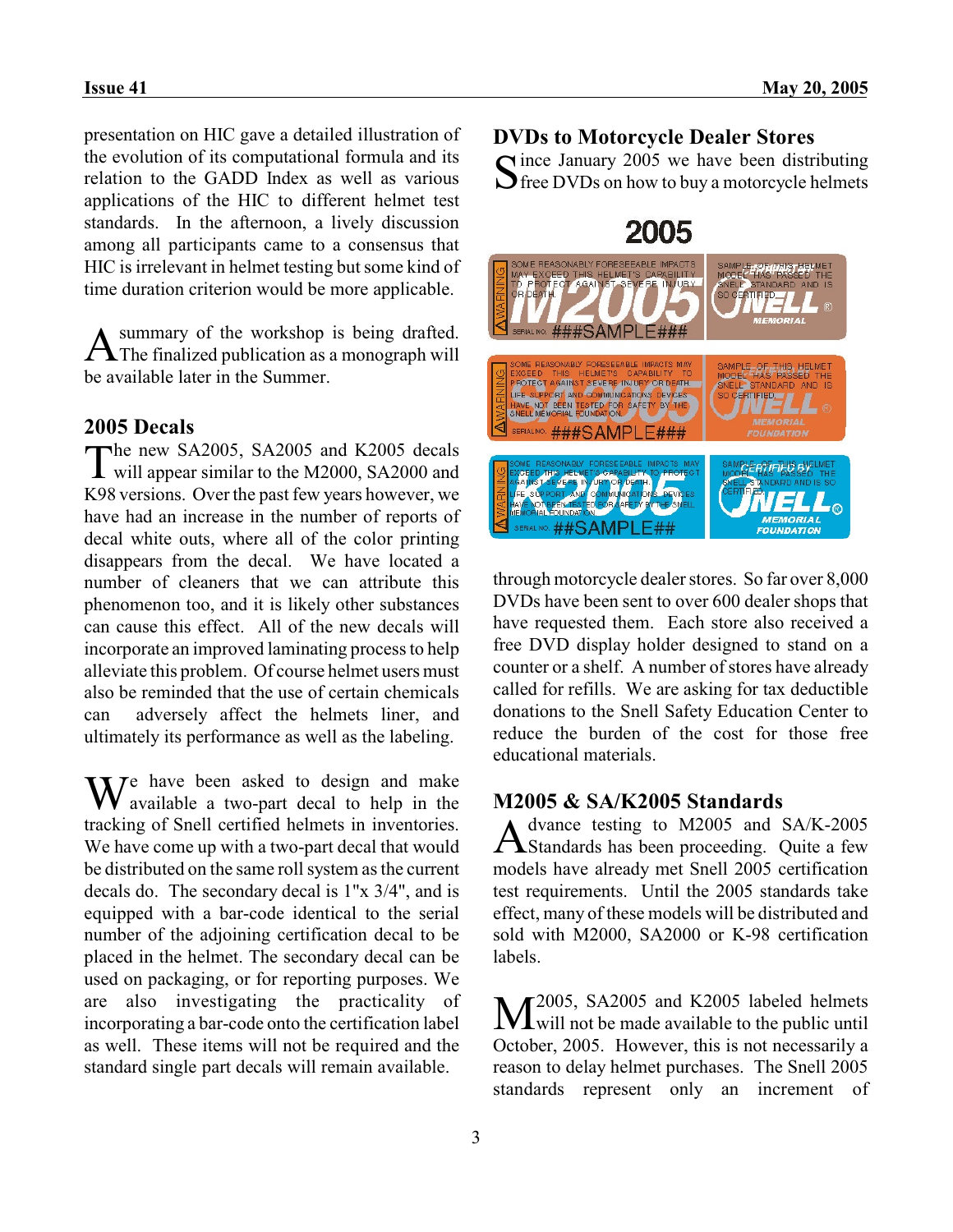presentation on HIC gave a detailed illustration of the evolution of its computational formula and its relation to the GADD Index as well as various applications of the HIC to different helmet test standards. In the afternoon, a lively discussion among all participants came to a consensus that HIC is irrelevant in helmet testing but some kind of time duration criterion would be more applicable.

**A** summary of the workshop is being drafted. summary of the workshop is being drafted. be available later in the Summer.

#### **2005 Decals**

The new SA2005, SA2005 and K2005 decals<br>will appear similar to the M2000, SA2000 and will appear similar to the M2000, SA2000 and K98 versions. Over the past few years however, we have had an increase in the number of reports of decal white outs, where all of the color printing disappears from the decal. We have located a number of cleaners that we can attribute this phenomenon too, and it is likely other substances can cause this effect. All of the new decals will incorporate an improved laminating process to help alleviate this problem. Of course helmet users must also be reminded that the use of certain chemicals can adversely affect the helmets liner, and ultimately its performance as well as the labeling.

 $M^e$  have been asked to design and make available a two-part decal to help in the tracking of Snell certified helmets in inventories. We have come up with a two-part decal that would be distributed on the same roll system as the current decals do. The secondary decal is 1"x 3/4", and is equipped with a bar-code identical to the serial number of the adjoining certification decal to be placed in the helmet. The secondary decal can be used on packaging, or for reporting purposes. We are also investigating the practicality of incorporating a bar-code onto the certification label as well. These items will not be required and the standard single part decals will remain available.

#### **DVDs to Motorcycle Dealer Stores**

Since January 2005 we have been distributing<br>Since DVDs on how to buy a motorcycle helmets  $\sum$  free DVDs on how to buy a motorcycle helmets



through motorcycle dealer stores. So far over 8,000 DVDs have been sent to over 600 dealer shops that have requested them. Each store also received a free DVD display holder designed to stand on a counter or a shelf. A number of stores have already called for refills. We are asking for tax deductible donations to the Snell Safety Education Center to reduce the burden of the cost for those free educational materials.

# **M2005 & SA/K2005 Standards**

A dvance testing to M2005 and SA/K-2005<br>Standards has been proceeding. Quite a few dvance testing to M2005 and SA/K-2005 models have already met Snell 2005 certification test requirements. Until the 2005 standards take effect, many of these models will be distributed and sold with M2000, SA2000 or K-98 certification labels.

M<sup>2005</sup>, SA2005 and K2005 labeled helmets<br>will not be made available to the public until 2005, SA2005 and K2005 labeled helmets October, 2005. However, this is not necessarily a reason to delay helmet purchases. The Snell 2005 standards represent only an increment of